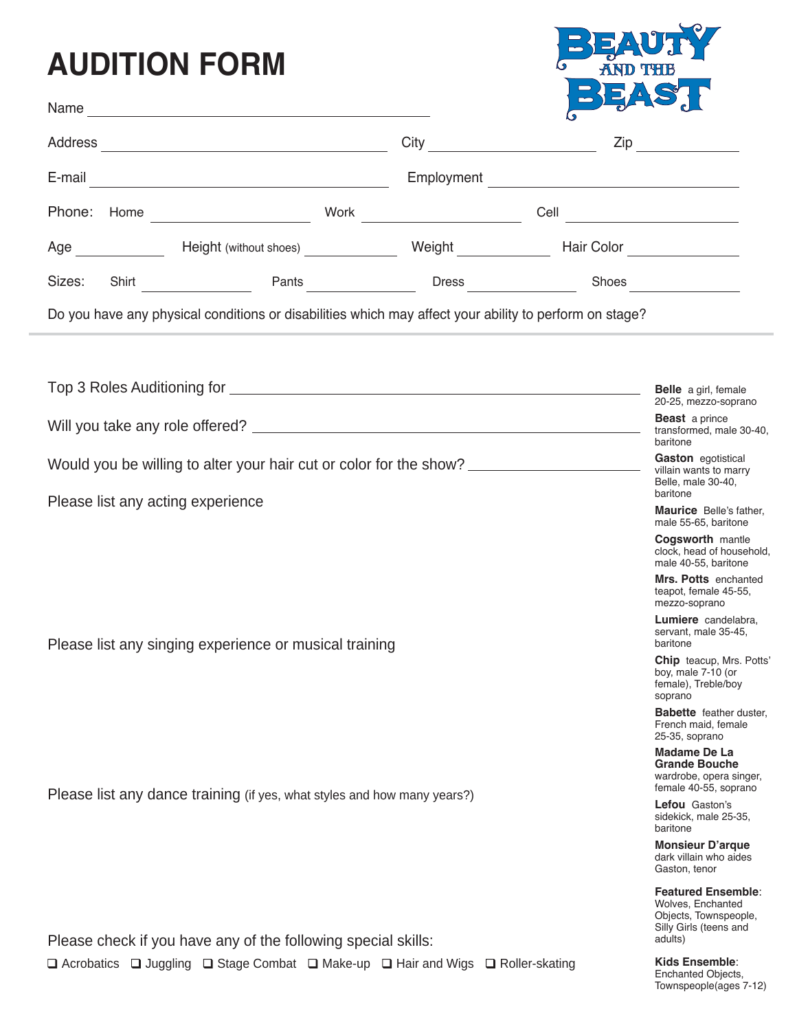## **AUDITION FORM**



| Name<br><u> 1989 - Johann Stein, marwolaethau a bhann an t-Amhain an t-Amhain an t-Amhain an t-Amhain an t-Amhain an t-A</u> |                                                                                | $\sigma$<br>$\mathbb{C}$                                                                                               |  |
|------------------------------------------------------------------------------------------------------------------------------|--------------------------------------------------------------------------------|------------------------------------------------------------------------------------------------------------------------|--|
| Address                                                                                                                      |                                                                                | $\mathsf{Zip}$                                                                                                         |  |
| E-mail<br><u> 1989 - Johann Stein, mars an de Frankrik (f. 1989)</u>                                                         | Employment                                                                     | <u> 1989 - Johann Barn, mars ann an t-Amhain ann an t-Amhain an t-Amhain an t-Amhain an t-Amhain an t-Amhain an t-</u> |  |
| Phone:                                                                                                                       |                                                                                | Cell __________________________                                                                                        |  |
| Age                                                                                                                          |                                                                                | Hair Color _________________                                                                                           |  |
| Shirt Pants<br>Sizes:                                                                                                        |                                                                                |                                                                                                                        |  |
| Do you have any physical conditions or disabilities which may affect your ability to perform on stage?                       |                                                                                |                                                                                                                        |  |
|                                                                                                                              |                                                                                |                                                                                                                        |  |
|                                                                                                                              |                                                                                | Belle a girl, female<br>20-25, mezzo-soprano                                                                           |  |
|                                                                                                                              | <b>Beast</b> a prince<br>transformed, male 30-40,<br>baritone                  |                                                                                                                        |  |
| Would you be willing to alter your hair cut or color for the show? ______________                                            | Gaston eqotistical<br>villain wants to marry<br>Belle, male 30-40,<br>baritone |                                                                                                                        |  |
| Please list any acting experience                                                                                            |                                                                                | <b>Maurice</b> Belle's father,<br>male 55-65, baritone                                                                 |  |
|                                                                                                                              |                                                                                | <b>Cogsworth mantle</b><br>clock, head of household,<br>male 40-55, baritone                                           |  |
|                                                                                                                              |                                                                                | Mrs. Potts enchanted<br>teapot, female 45-55,<br>mezzo-soprano                                                         |  |
| Please list any singing experience or musical training                                                                       | <b>Lumiere</b> candelabra.<br>servant, male 35-45,<br>baritone                 |                                                                                                                        |  |
|                                                                                                                              |                                                                                | <b>Chip</b> teacup, Mrs. Potts'<br>boy, male 7-10 (or<br>female), Treble/boy<br>soprano                                |  |
|                                                                                                                              | <b>Babette</b> feather duster,<br>French maid, female<br>25-35, soprano        |                                                                                                                        |  |
| Please list any dance training (if yes, what styles and how many years?)                                                     |                                                                                | <b>Madame De La</b><br><b>Grande Bouche</b><br>wardrobe, opera singer,<br>female 40-55, soprano                        |  |
|                                                                                                                              |                                                                                | <b>Lefou</b> Gaston's<br>sidekick, male 25-35,<br>baritone                                                             |  |
|                                                                                                                              |                                                                                | <b>Monsieur D'arque</b><br>dark villain who aides<br>Gaston, tenor                                                     |  |
| Please check if you have any of the following special skills:                                                                |                                                                                | <b>Featured Ensemble:</b><br>Wolves, Enchanted<br>Objects, Townspeople,<br>Silly Girls (teens and<br>adults)           |  |
|                                                                                                                              |                                                                                | Kide Encomble:                                                                                                         |  |

 $\Box$  Acrobatics  $\Box$  Juggling  $\Box$  Stage Combat  $\Box$  Make-up  $\Box$  Hair and Wigs  $\Box$  Roller-skating

**Kids Ensemble**: Enchanted Objects, Townspeople(ages 7-12)